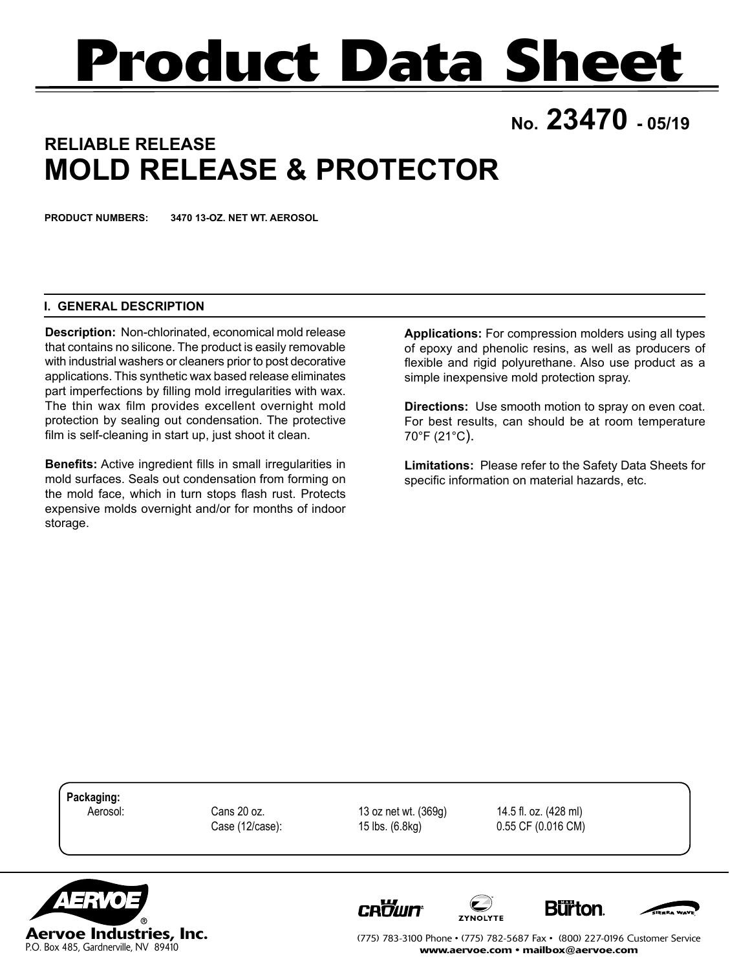# **Product Data Sheet**

# **No. 23470 - 05/19**

## **RELIABLE RELEASE MOLD RELEASE & PROTECTOR**

**PRODUCT NUMBERS: 3470 13-OZ. NET WT. AEROSOL**

#### **I. GENERAL DESCRIPTION**

**Description:** Non-chlorinated, economical mold release that contains no silicone. The product is easily removable with industrial washers or cleaners prior to post decorative applications. This synthetic wax based release eliminates part imperfections by filling mold irregularities with wax. The thin wax film provides excellent overnight mold protection by sealing out condensation. The protective film is self-cleaning in start up, just shoot it clean.

**Benefits:** Active ingredient fills in small irregularities in mold surfaces. Seals out condensation from forming on the mold face, which in turn stops flash rust. Protects expensive molds overnight and/or for months of indoor storage.

**Applications:** For compression molders using all types of epoxy and phenolic resins, as well as producers of flexible and rigid polyurethane. Also use product as a simple inexpensive mold protection spray.

**Directions:** Use smooth motion to spray on even coat. For best results, can should be at room temperature 70°F (21°C).

**Limitations:** Please refer to the Safety Data Sheets for specific information on material hazards, etc.

**Packaging:**

**CROWN** 

 Aerosol: Cans 20 oz. 13 oz net wt. (369g) 14.5 fl. oz. (428 ml) Case (12/case): 15 lbs. (6.8kg) 0.55 CF (0.016 CM)



(775) 783-3100 Phone • (775) 782-5687 Fax • (800) 227-0196 Customer Service www.aervoe.com • mailbox@aervoe.com